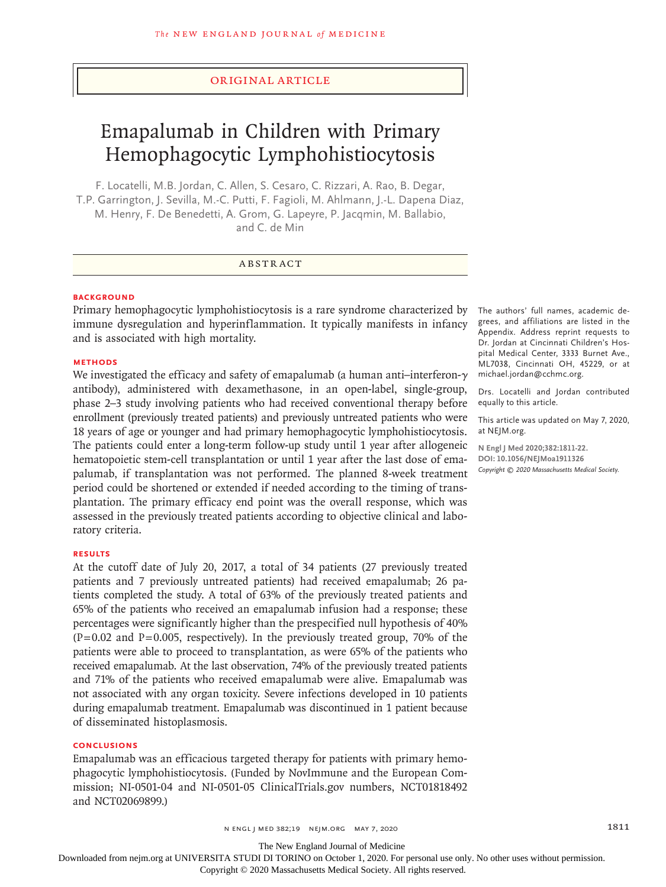# Original Article

# Emapalumab in Children with Primary Hemophagocytic Lymphohistiocytosis

F. Locatelli, M.B. Jordan, C. Allen, S. Cesaro, C. Rizzari, A. Rao, B. Degar, T.P. Garrington, J. Sevilla, M.-C. Putti, F. Fagioli, M. Ahlmann, J.-L. Dapena Diaz, M. Henry, F. De Benedetti, A. Grom, G. Lapeyre, P. Jacqmin, M. Ballabio, and C. de Min

# ABSTRACT

# **BACKGROUND**

Primary hemophagocytic lymphohistiocytosis is a rare syndrome characterized by immune dysregulation and hyperinflammation. It typically manifests in infancy and is associated with high mortality.

# **METHODS**

We investigated the efficacy and safety of emapalumab (a human anti–interferon- $\gamma$ antibody), administered with dexamethasone, in an open-label, single-group, phase 2–3 study involving patients who had received conventional therapy before enrollment (previously treated patients) and previously untreated patients who were 18 years of age or younger and had primary hemophagocytic lymphohistiocytosis. The patients could enter a long-term follow-up study until 1 year after allogeneic hematopoietic stem-cell transplantation or until 1 year after the last dose of emapalumab, if transplantation was not performed. The planned 8-week treatment period could be shortened or extended if needed according to the timing of transplantation. The primary efficacy end point was the overall response, which was assessed in the previously treated patients according to objective clinical and laboratory criteria.

# **RESULTS**

At the cutoff date of July 20, 2017, a total of 34 patients (27 previously treated patients and 7 previously untreated patients) had received emapalumab; 26 patients completed the study. A total of 63% of the previously treated patients and 65% of the patients who received an emapalumab infusion had a response; these percentages were significantly higher than the prespecified null hypothesis of 40%  $(P=0.02$  and P=0.005, respectively). In the previously treated group, 70% of the patients were able to proceed to transplantation, as were 65% of the patients who received emapalumab. At the last observation, 74% of the previously treated patients and 71% of the patients who received emapalumab were alive. Emapalumab was not associated with any organ toxicity. Severe infections developed in 10 patients during emapalumab treatment. Emapalumab was discontinued in 1 patient because of disseminated histoplasmosis.

# **CONCLUSIONS**

Emapalumab was an efficacious targeted therapy for patients with primary hemophagocytic lymphohistiocytosis. (Funded by NovImmune and the European Commission; NI-0501-04 and NI-0501-05 ClinicalTrials.gov numbers, NCT01818492 and NCT02069899.)

The authors' full names, academic degrees, and affiliations are listed in the Appendix. Address reprint requests to Dr. Jordan at Cincinnati Children's Hospital Medical Center, 3333 Burnet Ave., ML7038, Cincinnati OH, 45229, or at michael.jordan@cchmc.org.

Drs. Locatelli and Jordan contributed equally to this article.

This article was updated on May 7, 2020, at NEJM.org.

**N Engl J Med 2020;382:1811-22. DOI: 10.1056/NEJMoa1911326** *Copyright © 2020 Massachusetts Medical Society.*

The New England Journal of Medicine

Downloaded from nejm.org at UNIVERSITA STUDI DI TORINO on October 1, 2020. For personal use only. No other uses without permission.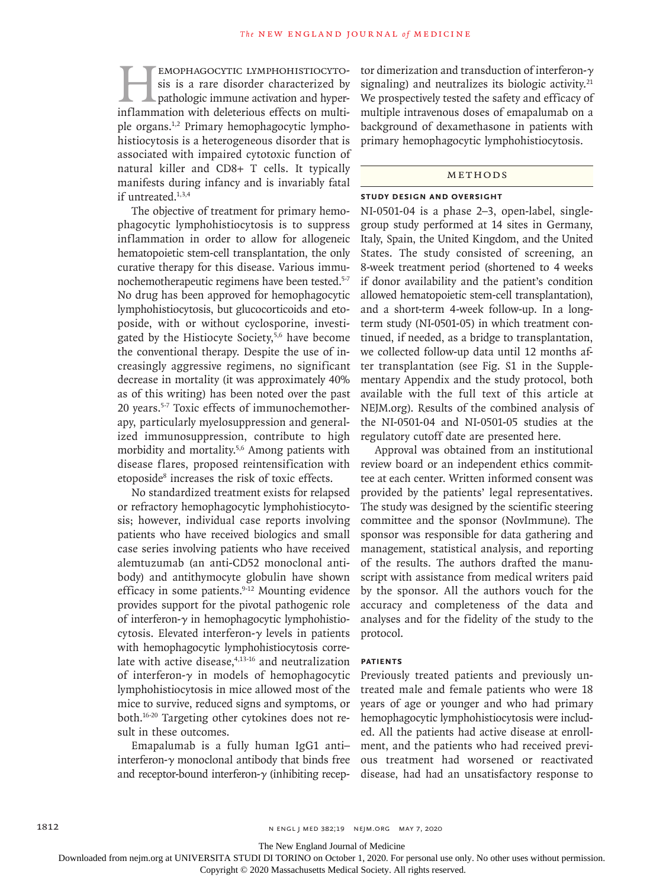EMOPHAGOCYTIC LYMPHOHISTIOCYTO-<br>sis is a rare disorder characterized by<br>pathologic immune activation and hyper-<br>inflammation with deleterious effects on multisis is a rare disorder characterized by pathologic immune activation and hyperinflammation with deleterious effects on multiple organs.1,2 Primary hemophagocytic lymphohistiocytosis is a heterogeneous disorder that is associated with impaired cytotoxic function of natural killer and CD8+ T cells. It typically manifests during infancy and is invariably fatal if untreated.<sup>1,3,4</sup>

The objective of treatment for primary hemophagocytic lymphohistiocytosis is to suppress inflammation in order to allow for allogeneic hematopoietic stem-cell transplantation, the only curative therapy for this disease. Various immunochemotherapeutic regimens have been tested.5-7 No drug has been approved for hemophagocytic lymphohistiocytosis, but glucocorticoids and etoposide, with or without cyclosporine, investigated by the Histiocyte Society,5,6 have become the conventional therapy. Despite the use of increasingly aggressive regimens, no significant decrease in mortality (it was approximately 40% as of this writing) has been noted over the past 20 years.5-7 Toxic effects of immunochemotherapy, particularly myelosuppression and generalized immunosuppression, contribute to high morbidity and mortality.5,6 Among patients with disease flares, proposed reintensification with etoposide<sup>8</sup> increases the risk of toxic effects.

No standardized treatment exists for relapsed or refractory hemophagocytic lymphohistiocytosis; however, individual case reports involving patients who have received biologics and small case series involving patients who have received alemtuzumab (an anti-CD52 monoclonal antibody) and antithymocyte globulin have shown efficacy in some patients.<sup>9-12</sup> Mounting evidence provides support for the pivotal pathogenic role of interferon- $\gamma$  in hemophagocytic lymphohistiocytosis. Elevated interferon-γ levels in patients with hemophagocytic lymphohistiocytosis correlate with active disease, $4,13-16$  and neutralization of interferon-γ in models of hemophagocytic lymphohistiocytosis in mice allowed most of the mice to survive, reduced signs and symptoms, or both.16-20 Targeting other cytokines does not result in these outcomes.

Emapalumab is a fully human IgG1 anti– interferon-γ monoclonal antibody that binds free and receptor-bound interferon-γ (inhibiting receptor dimerization and transduction of interferon-γ signaling) and neutralizes its biologic activity. $21$ We prospectively tested the safety and efficacy of multiple intravenous doses of emapalumab on a background of dexamethasone in patients with primary hemophagocytic lymphohistiocytosis.

# METHODS

#### **Study Design and Oversight**

NI-0501-04 is a phase 2–3, open-label, singlegroup study performed at 14 sites in Germany, Italy, Spain, the United Kingdom, and the United States. The study consisted of screening, an 8-week treatment period (shortened to 4 weeks if donor availability and the patient's condition allowed hematopoietic stem-cell transplantation), and a short-term 4-week follow-up. In a longterm study (NI-0501-05) in which treatment continued, if needed, as a bridge to transplantation, we collected follow-up data until 12 months after transplantation (see Fig. S1 in the Supplementary Appendix and the study protocol, both available with the full text of this article at NEJM.org). Results of the combined analysis of the NI-0501-04 and NI-0501-05 studies at the regulatory cutoff date are presented here.

Approval was obtained from an institutional review board or an independent ethics committee at each center. Written informed consent was provided by the patients' legal representatives. The study was designed by the scientific steering committee and the sponsor (NovImmune). The sponsor was responsible for data gathering and management, statistical analysis, and reporting of the results. The authors drafted the manuscript with assistance from medical writers paid by the sponsor. All the authors vouch for the accuracy and completeness of the data and analyses and for the fidelity of the study to the protocol.

# **Patients**

Previously treated patients and previously untreated male and female patients who were 18 years of age or younger and who had primary hemophagocytic lymphohistiocytosis were included. All the patients had active disease at enrollment, and the patients who had received previous treatment had worsened or reactivated disease, had had an unsatisfactory response to

The New England Journal of Medicine

Downloaded from nejm.org at UNIVERSITA STUDI DI TORINO on October 1, 2020. For personal use only. No other uses without permission.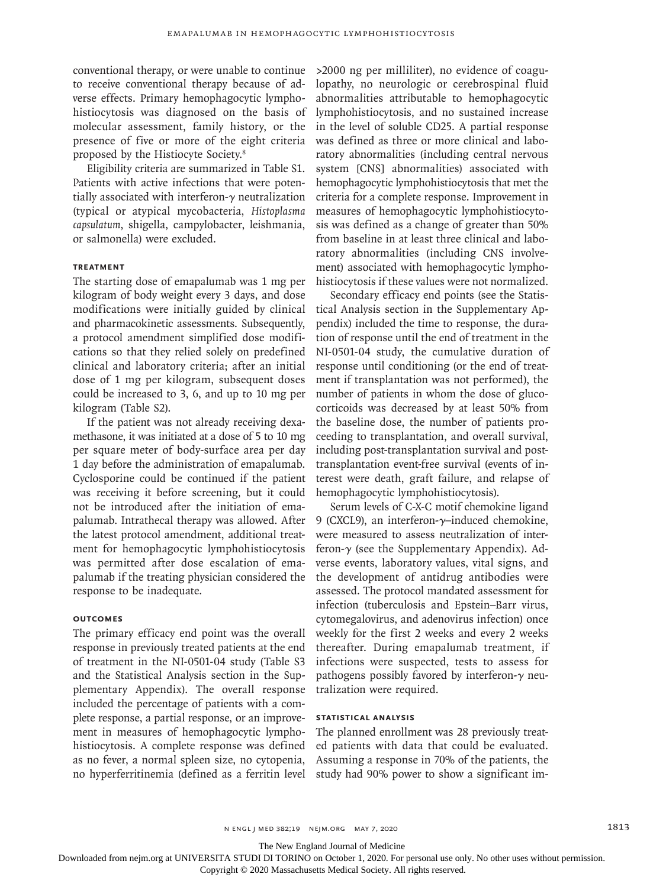conventional therapy, or were unable to continue to receive conventional therapy because of adverse effects. Primary hemophagocytic lymphohistiocytosis was diagnosed on the basis of molecular assessment, family history, or the presence of five or more of the eight criteria proposed by the Histiocyte Society.8

Eligibility criteria are summarized in Table S1. Patients with active infections that were potentially associated with interferon-γ neutralization (typical or atypical mycobacteria, *Histoplasma capsulatum*, shigella, campylobacter, leishmania, or salmonella) were excluded.

# **Treatment**

The starting dose of emapalumab was 1 mg per kilogram of body weight every 3 days, and dose modifications were initially guided by clinical and pharmacokinetic assessments. Subsequently, a protocol amendment simplified dose modifications so that they relied solely on predefined clinical and laboratory criteria; after an initial dose of 1 mg per kilogram, subsequent doses could be increased to 3, 6, and up to 10 mg per kilogram (Table S2).

If the patient was not already receiving dexamethasone, it was initiated at a dose of 5 to 10 mg per square meter of body-surface area per day 1 day before the administration of emapalumab. Cyclosporine could be continued if the patient was receiving it before screening, but it could not be introduced after the initiation of emapalumab. Intrathecal therapy was allowed. After the latest protocol amendment, additional treatment for hemophagocytic lymphohistiocytosis was permitted after dose escalation of emapalumab if the treating physician considered the response to be inadequate.

# **Outcomes**

The primary efficacy end point was the overall response in previously treated patients at the end of treatment in the NI-0501-04 study (Table S3 and the Statistical Analysis section in the Supplementary Appendix). The overall response included the percentage of patients with a complete response, a partial response, or an improvement in measures of hemophagocytic lymphohistiocytosis. A complete response was defined as no fever, a normal spleen size, no cytopenia, no hyperferritinemia (defined as a ferritin level

>2000 ng per milliliter), no evidence of coagulopathy, no neurologic or cerebrospinal fluid abnormalities attributable to hemophagocytic lymphohistiocytosis, and no sustained increase in the level of soluble CD25. A partial response was defined as three or more clinical and laboratory abnormalities (including central nervous system [CNS] abnormalities) associated with hemophagocytic lymphohistiocytosis that met the criteria for a complete response. Improvement in measures of hemophagocytic lymphohistiocytosis was defined as a change of greater than 50% from baseline in at least three clinical and laboratory abnormalities (including CNS involvement) associated with hemophagocytic lymphohistiocytosis if these values were not normalized.

Secondary efficacy end points (see the Statistical Analysis section in the Supplementary Appendix) included the time to response, the duration of response until the end of treatment in the NI-0501-04 study, the cumulative duration of response until conditioning (or the end of treatment if transplantation was not performed), the number of patients in whom the dose of glucocorticoids was decreased by at least 50% from the baseline dose, the number of patients proceeding to transplantation, and overall survival, including post-transplantation survival and posttransplantation event-free survival (events of interest were death, graft failure, and relapse of hemophagocytic lymphohistiocytosis).

Serum levels of C-X-C motif chemokine ligand 9 (CXCL9), an interferon-γ–induced chemokine, were measured to assess neutralization of interferon-γ (see the Supplementary Appendix). Adverse events, laboratory values, vital signs, and the development of antidrug antibodies were assessed. The protocol mandated assessment for infection (tuberculosis and Epstein–Barr virus, cytomegalovirus, and adenovirus infection) once weekly for the first 2 weeks and every 2 weeks thereafter. During emapalumab treatment, if infections were suspected, tests to assess for pathogens possibly favored by interferon- $\gamma$  neutralization were required.

# **Statistical Analysis**

The planned enrollment was 28 previously treated patients with data that could be evaluated. Assuming a response in 70% of the patients, the study had 90% power to show a significant im-

n ENGL JMED 382;19 NEJM.ORG MAY 7, 2020 1813

The New England Journal of Medicine

Downloaded from nejm.org at UNIVERSITA STUDI DI TORINO on October 1, 2020. For personal use only. No other uses without permission.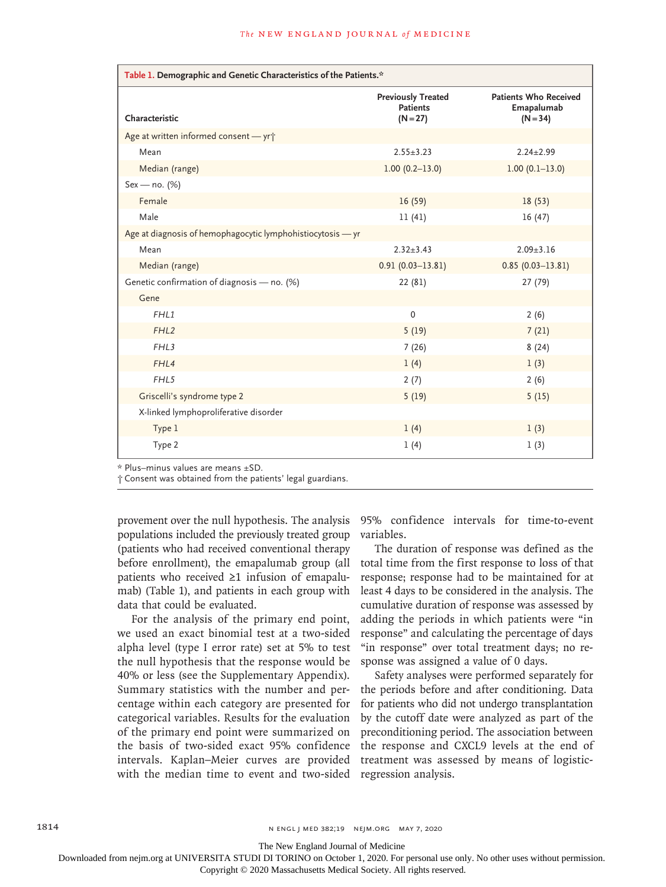| Table 1. Demographic and Genetic Characteristics of the Patients.* |                                                            |                                                          |  |  |  |
|--------------------------------------------------------------------|------------------------------------------------------------|----------------------------------------------------------|--|--|--|
| Characteristic                                                     | <b>Previously Treated</b><br><b>Patients</b><br>$(N = 27)$ | <b>Patients Who Received</b><br>Emapalumab<br>$(N = 34)$ |  |  |  |
| Age at written informed consent - yri                              |                                                            |                                                          |  |  |  |
| Mean                                                               | $2.55 \pm 3.23$                                            | $2.24 \pm 2.99$                                          |  |  |  |
| Median (range)                                                     | $1.00(0.2 - 13.0)$                                         | $1.00(0.1-13.0)$                                         |  |  |  |
| Sex - no. (%)                                                      |                                                            |                                                          |  |  |  |
| Female                                                             | 16(59)                                                     | 18(53)                                                   |  |  |  |
| Male                                                               | 11(41)                                                     | 16(47)                                                   |  |  |  |
| Age at diagnosis of hemophagocytic lymphohistiocytosis - yr        |                                                            |                                                          |  |  |  |
| Mean                                                               | $2.32 \pm 3.43$                                            | $2.09 \pm 3.16$                                          |  |  |  |
| Median (range)                                                     | $0.91(0.03 - 13.81)$                                       | $0.85(0.03 - 13.81)$                                     |  |  |  |
| Genetic confirmation of diagnosis - no. (%)                        | 22 (81)                                                    | 27 (79)                                                  |  |  |  |
| Gene                                                               |                                                            |                                                          |  |  |  |
| FHL1                                                               | $\mathbf 0$                                                | 2(6)                                                     |  |  |  |
| FHL <sub>2</sub>                                                   | 5(19)                                                      | 7(21)                                                    |  |  |  |
| FHL3                                                               | 7(26)                                                      | 8(24)                                                    |  |  |  |
| FHL4                                                               | 1(4)                                                       | 1(3)                                                     |  |  |  |
| FHL5                                                               | 2(7)                                                       | 2(6)                                                     |  |  |  |
| Griscelli's syndrome type 2                                        | 5(19)                                                      | 5(15)                                                    |  |  |  |
| X-linked lymphoproliferative disorder                              |                                                            |                                                          |  |  |  |
| Type 1                                                             | 1(4)                                                       | 1(3)                                                     |  |  |  |
| Type 2                                                             | 1(4)                                                       | 1(3)                                                     |  |  |  |

\* Plus–minus values are means ±SD.

† Consent was obtained from the patients' legal guardians.

provement over the null hypothesis. The analysis populations included the previously treated group (patients who had received conventional therapy before enrollment), the emapalumab group (all patients who received ≥1 infusion of emapalumab) (Table 1), and patients in each group with data that could be evaluated.

For the analysis of the primary end point, we used an exact binomial test at a two-sided alpha level (type I error rate) set at 5% to test the null hypothesis that the response would be 40% or less (see the Supplementary Appendix). Summary statistics with the number and percentage within each category are presented for categorical variables. Results for the evaluation of the primary end point were summarized on the basis of two-sided exact 95% confidence intervals. Kaplan–Meier curves are provided with the median time to event and two-sided regression analysis.

95% confidence intervals for time-to-event variables.

The duration of response was defined as the total time from the first response to loss of that response; response had to be maintained for at least 4 days to be considered in the analysis. The cumulative duration of response was assessed by adding the periods in which patients were "in response" and calculating the percentage of days "in response" over total treatment days; no response was assigned a value of 0 days.

Safety analyses were performed separately for the periods before and after conditioning. Data for patients who did not undergo transplantation by the cutoff date were analyzed as part of the preconditioning period. The association between the response and CXCL9 levels at the end of treatment was assessed by means of logistic-

1814 **N ENGL | MED 382;19 NEIM.ORG MAY 7, 2020** 

The New England Journal of Medicine

Downloaded from nejm.org at UNIVERSITA STUDI DI TORINO on October 1, 2020. For personal use only. No other uses without permission.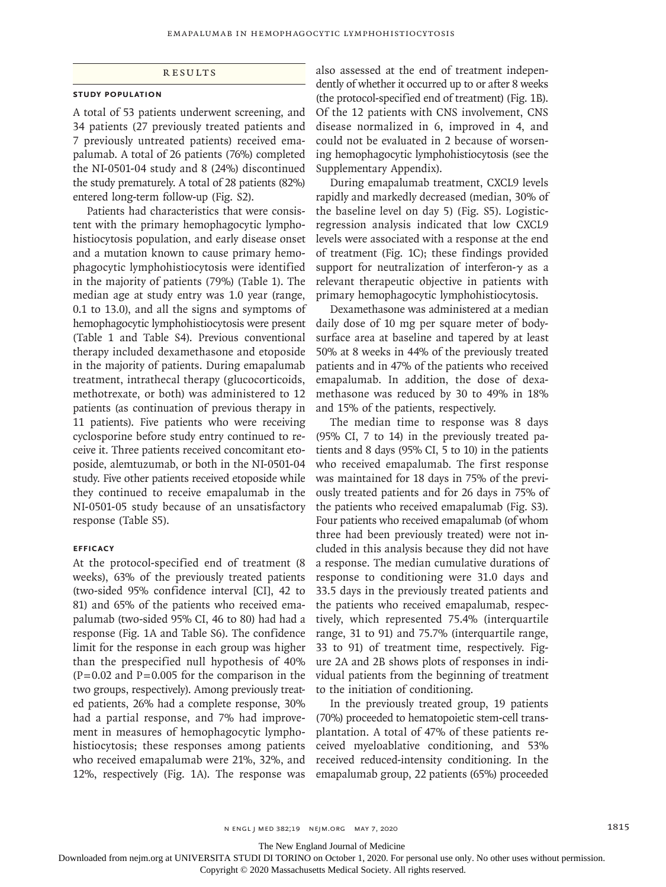# **RESULTS**

## **Study Population**

A total of 53 patients underwent screening, and 34 patients (27 previously treated patients and 7 previously untreated patients) received emapalumab. A total of 26 patients (76%) completed the NI-0501-04 study and 8 (24%) discontinued the study prematurely. A total of 28 patients (82%) entered long-term follow-up (Fig. S2).

Patients had characteristics that were consistent with the primary hemophagocytic lymphohistiocytosis population, and early disease onset and a mutation known to cause primary hemophagocytic lymphohistiocytosis were identified in the majority of patients (79%) (Table 1). The median age at study entry was 1.0 year (range, 0.1 to 13.0), and all the signs and symptoms of hemophagocytic lymphohistiocytosis were present (Table 1 and Table S4). Previous conventional therapy included dexamethasone and etoposide in the majority of patients. During emapalumab treatment, intrathecal therapy (glucocorticoids, methotrexate, or both) was administered to 12 patients (as continuation of previous therapy in 11 patients). Five patients who were receiving cyclosporine before study entry continued to receive it. Three patients received concomitant etoposide, alemtuzumab, or both in the NI-0501-04 study. Five other patients received etoposide while they continued to receive emapalumab in the NI-0501-05 study because of an unsatisfactory response (Table S5).

### **Efficacy**

At the protocol-specified end of treatment (8 weeks), 63% of the previously treated patients (two-sided 95% confidence interval [CI], 42 to 81) and 65% of the patients who received emapalumab (two-sided 95% CI, 46 to 80) had had a response (Fig. 1A and Table S6). The confidence limit for the response in each group was higher than the prespecified null hypothesis of 40%  $(P=0.02$  and  $P=0.005$  for the comparison in the two groups, respectively). Among previously treated patients, 26% had a complete response, 30% had a partial response, and 7% had improvement in measures of hemophagocytic lymphohistiocytosis; these responses among patients who received emapalumab were 21%, 32%, and 12%, respectively (Fig. 1A). The response was also assessed at the end of treatment independently of whether it occurred up to or after 8 weeks (the protocol-specified end of treatment) (Fig. 1B). Of the 12 patients with CNS involvement, CNS disease normalized in 6, improved in 4, and could not be evaluated in 2 because of worsening hemophagocytic lymphohistiocytosis (see the Supplementary Appendix).

During emapalumab treatment, CXCL9 levels rapidly and markedly decreased (median, 30% of the baseline level on day 5) (Fig. S5). Logisticregression analysis indicated that low CXCL9 levels were associated with a response at the end of treatment (Fig. 1C); these findings provided support for neutralization of interferon-γ as a relevant therapeutic objective in patients with primary hemophagocytic lymphohistiocytosis.

Dexamethasone was administered at a median daily dose of 10 mg per square meter of bodysurface area at baseline and tapered by at least 50% at 8 weeks in 44% of the previously treated patients and in 47% of the patients who received emapalumab. In addition, the dose of dexamethasone was reduced by 30 to 49% in 18% and 15% of the patients, respectively.

The median time to response was 8 days (95% CI, 7 to 14) in the previously treated patients and 8 days (95% CI, 5 to 10) in the patients who received emapalumab. The first response was maintained for 18 days in 75% of the previously treated patients and for 26 days in 75% of the patients who received emapalumab (Fig. S3). Four patients who received emapalumab (of whom three had been previously treated) were not included in this analysis because they did not have a response. The median cumulative durations of response to conditioning were 31.0 days and 33.5 days in the previously treated patients and the patients who received emapalumab, respectively, which represented 75.4% (interquartile range, 31 to 91) and 75.7% (interquartile range, 33 to 91) of treatment time, respectively. Figure 2A and 2B shows plots of responses in individual patients from the beginning of treatment to the initiation of conditioning.

In the previously treated group, 19 patients (70%) proceeded to hematopoietic stem-cell transplantation. A total of 47% of these patients received myeloablative conditioning, and 53% received reduced-intensity conditioning. In the emapalumab group, 22 patients (65%) proceeded

n engl j med 382;19 nejm.org May 7, 2020 1815

The New England Journal of Medicine

Downloaded from nejm.org at UNIVERSITA STUDI DI TORINO on October 1, 2020. For personal use only. No other uses without permission.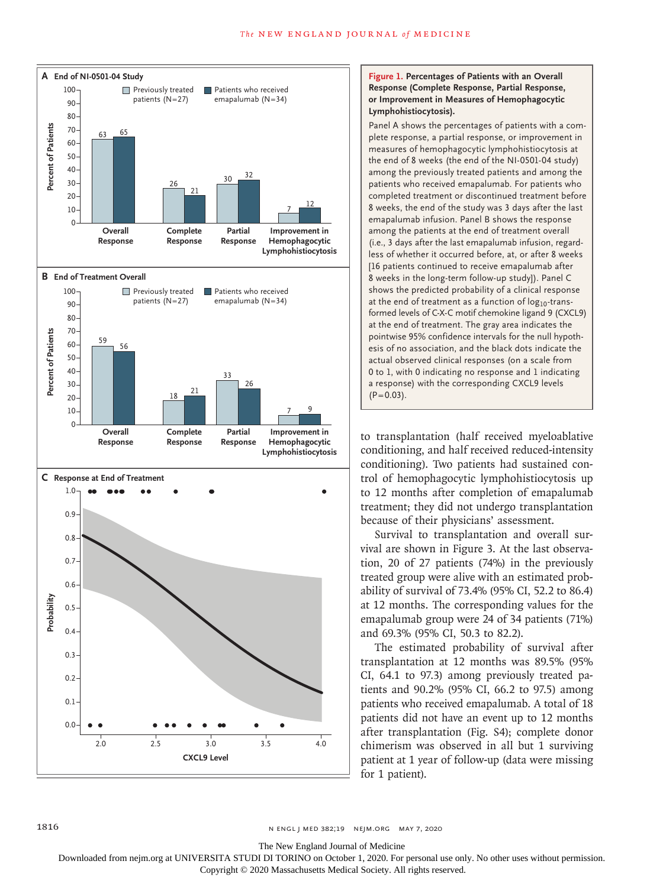

# **Figure 1. Percentages of Patients with an Overall Response (Complete Response, Partial Response, or Improvement in Measures of Hemophagocytic Lymphohistiocytosis).**

Panel A shows the percentages of patients with a complete response, a partial response, or improvement in measures of hemophagocytic lymphohistiocytosis at the end of 8 weeks (the end of the NI-0501-04 study) among the previously treated patients and among the patients who received emapalumab. For patients who completed treatment or discontinued treatment before 8 weeks, the end of the study was 3 days after the last emapalumab infusion. Panel B shows the response among the patients at the end of treatment overall (i.e., 3 days after the last emapalumab infusion, regardless of whether it occurred before, at, or after 8 weeks [16 patients continued to receive emapalumab after 8 weeks in the long-term follow-up study]). Panel C shows the predicted probability of a clinical response at the end of treatment as a function of  $log_{10}$ -transformed levels of C-X-C motif chemokine ligand 9 (CXCL9) at the end of treatment. The gray area indicates the pointwise 95% confidence intervals for the null hypothesis of no association, and the black dots indicate the actual observed clinical responses (on a scale from 0 to 1, with 0 indicating no response and 1 indicating a response) with the corresponding CXCL9 levels  $(P=0.03)$ .

to transplantation (half received myeloablative conditioning, and half received reduced-intensity conditioning). Two patients had sustained control of hemophagocytic lymphohistiocytosis up to 12 months after completion of emapalumab treatment; they did not undergo transplantation because of their physicians' assessment.

Survival to transplantation and overall survival are shown in Figure 3. At the last observation, 20 of 27 patients (74%) in the previously treated group were alive with an estimated probability of survival of 73.4% (95% CI, 52.2 to 86.4) at 12 months. The corresponding values for the emapalumab group were 24 of 34 patients (71%) and 69.3% (95% CI, 50.3 to 82.2).

The estimated probability of survival after transplantation at 12 months was 89.5% (95% CI, 64.1 to 97.3) among previously treated patients and 90.2% (95% CI, 66.2 to 97.5) among patients who received emapalumab. A total of 18 patients did not have an event up to 12 months after transplantation (Fig. S4); complete donor chimerism was observed in all but 1 surviving patient at 1 year of follow-up (data were missing for 1 patient).

The New England Journal of Medicine

Downloaded from nejm.org at UNIVERSITA STUDI DI TORINO on October 1, 2020. For personal use only. No other uses without permission.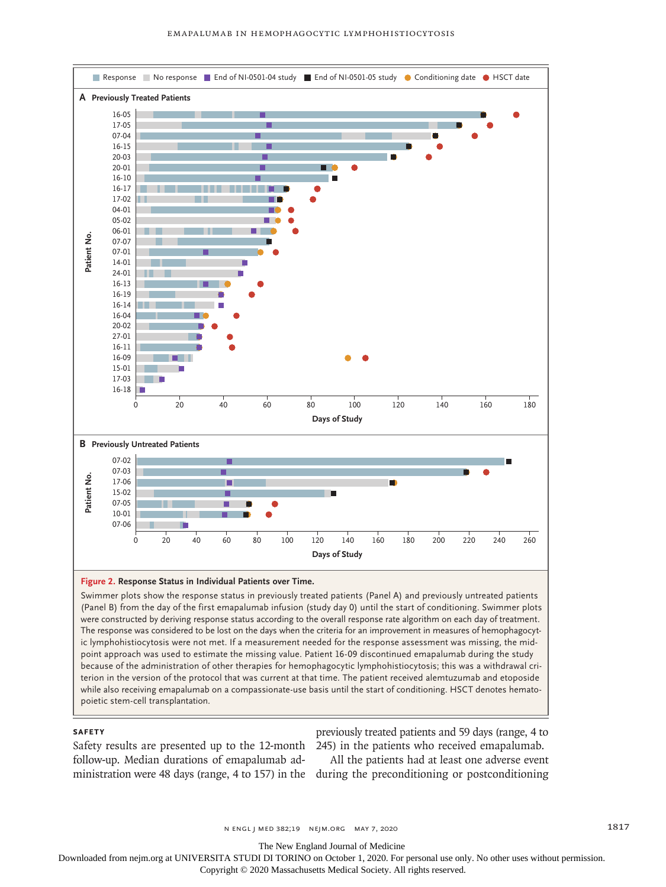

#### **Figure 2. Response Status in Individual Patients over Time.**

Swimmer plots show the response status in previously treated patients (Panel A) and previously untreated patients (Panel B) from the day of the first emapalumab infusion (study day 0) until the start of conditioning. Swimmer plots were constructed by deriving response status according to the overall response rate algorithm on each day of treatment. The response was considered to be lost on the days when the criteria for an improvement in measures of hemophagocytic lymphohistiocytosis were not met. If a measurement needed for the response assessment was missing, the midpoint approach was used to estimate the missing value. Patient 16-09 discontinued emapalumab during the study because of the administration of other therapies for hemophagocytic lymphohistiocytosis; this was a withdrawal criterion in the version of the protocol that was current at that time. The patient received alemtuzumab and etoposide while also receiving emapalumab on a compassionate-use basis until the start of conditioning. HSCT denotes hemato-

## **Safety**

follow-up. Median durations of emapalumab ad-

Safety results are presented up to the 12-month 245) in the patients who received emapalumab. previously treated patients and 59 days (range, 4 to

ministration were 48 days (range, 4 to 157) in the during the preconditioning or postconditioning All the patients had at least one adverse event

n ENGL J MED 382;19 NEJM.ORG MAY 7, 2020 1817

The New England Journal of Medicine

Downloaded from nejm.org at UNIVERSITA STUDI DI TORINO on October 1, 2020. For personal use only. No other uses without permission.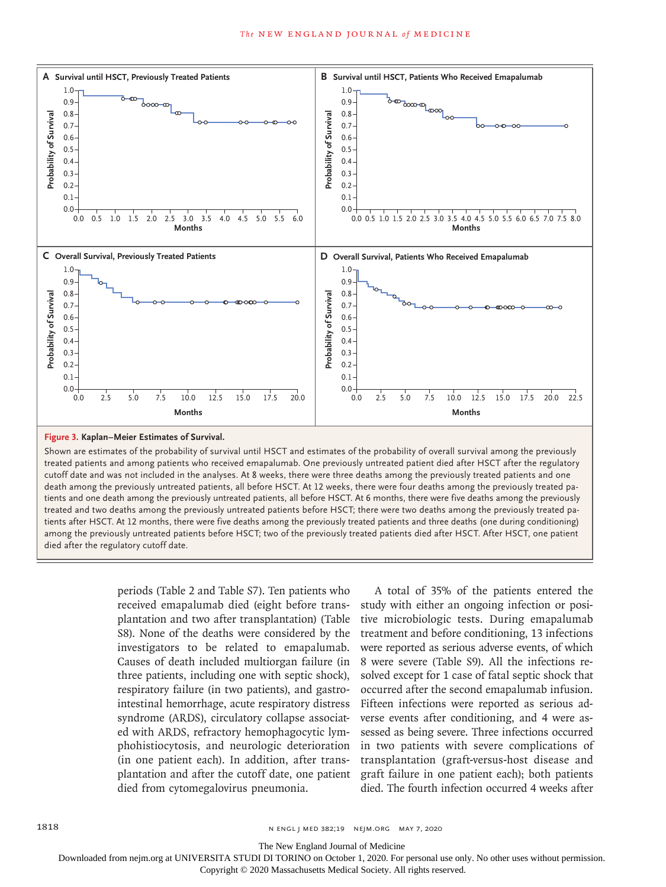

#### **Figure 3. Kaplan–Meier Estimates of Survival.**

Shown are estimates of the probability of survival until HSCT and estimates of the probability of overall survival among the previously treated patients and among patients who received emapalumab. One previously untreated patient died after HSCT after the regulatory cutoff date and was not included in the analyses. At 8 weeks, there were three deaths among the previously treated patients and one death among the previously untreated patients, all before HSCT. At 12 weeks, there were four deaths among the previously treated patients and one death among the previously untreated patients, all before HSCT. At 6 months, there were five deaths among the previously treated and two deaths among the previously untreated patients before HSCT; there were two deaths among the previously treated patients after HSCT. At 12 months, there were five deaths among the previously treated patients and three deaths (one during conditioning) among the previously untreated patients before HSCT; two of the previously treated patients died after HSCT. After HSCT, one patient

> periods (Table 2 and Table S7). Ten patients who received emapalumab died (eight before transplantation and two after transplantation) (Table S8). None of the deaths were considered by the investigators to be related to emapalumab. Causes of death included multiorgan failure (in three patients, including one with septic shock), respiratory failure (in two patients), and gastrointestinal hemorrhage, acute respiratory distress syndrome (ARDS), circulatory collapse associated with ARDS, refractory hemophagocytic lymphohistiocytosis, and neurologic deterioration (in one patient each). In addition, after transplantation and after the cutoff date, one patient died from cytomegalovirus pneumonia.

A total of 35% of the patients entered the study with either an ongoing infection or positive microbiologic tests. During emapalumab treatment and before conditioning, 13 infections were reported as serious adverse events, of which 8 were severe (Table S9). All the infections resolved except for 1 case of fatal septic shock that occurred after the second emapalumab infusion. Fifteen infections were reported as serious adverse events after conditioning, and 4 were assessed as being severe. Three infections occurred in two patients with severe complications of transplantation (graft-versus-host disease and graft failure in one patient each); both patients died. The fourth infection occurred 4 weeks after

The New England Journal of Medicine

Downloaded from nejm.org at UNIVERSITA STUDI DI TORINO on October 1, 2020. For personal use only. No other uses without permission.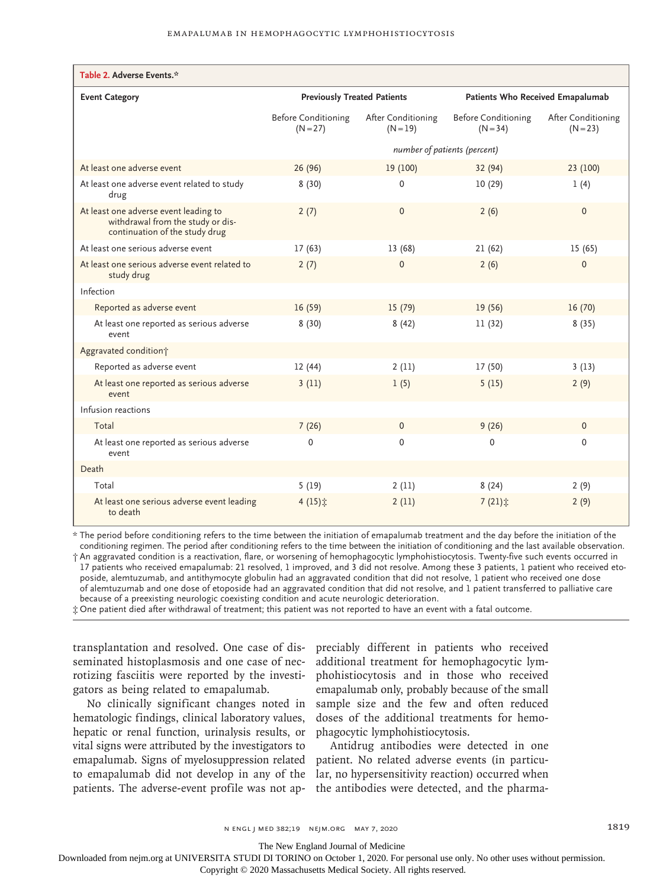| Table 2. Adverse Events.*                                                                                    |                                          |                                  |                                          |                                  |  |
|--------------------------------------------------------------------------------------------------------------|------------------------------------------|----------------------------------|------------------------------------------|----------------------------------|--|
| <b>Event Category</b>                                                                                        | <b>Previously Treated Patients</b>       |                                  | Patients Who Received Emapalumab         |                                  |  |
|                                                                                                              | <b>Before Conditioning</b><br>$(N = 27)$ | After Conditioning<br>$(N = 19)$ | <b>Before Conditioning</b><br>$(N = 34)$ | After Conditioning<br>$(N = 23)$ |  |
|                                                                                                              | number of patients (percent)             |                                  |                                          |                                  |  |
| At least one adverse event                                                                                   | 26(96)                                   | 19 (100)                         | 32 (94)                                  | 23 (100)                         |  |
| At least one adverse event related to study<br>drug                                                          | 8(30)                                    | $\mathbf 0$                      | 10(29)                                   | 1(4)                             |  |
| At least one adverse event leading to<br>withdrawal from the study or dis-<br>continuation of the study drug | 2(7)                                     | $\mathbf{0}$                     | 2(6)                                     | $\Omega$                         |  |
| At least one serious adverse event                                                                           | 17(63)                                   | 13 (68)                          | 21(62)                                   | 15(65)                           |  |
| At least one serious adverse event related to<br>study drug                                                  | 2(7)                                     | $\mathbf{0}$                     | 2(6)                                     | $\Omega$                         |  |
| Infection                                                                                                    |                                          |                                  |                                          |                                  |  |
| Reported as adverse event                                                                                    | 16(59)                                   | 15(79)                           | 19(56)                                   | 16(70)                           |  |
| At least one reported as serious adverse<br>event                                                            | 8(30)                                    | 8(42)                            | 11 (32)                                  | 8(35)                            |  |
| Aggravated condition;                                                                                        |                                          |                                  |                                          |                                  |  |
| Reported as adverse event                                                                                    | 12(44)                                   | 2(11)                            | 17 (50)                                  | 3(13)                            |  |
| At least one reported as serious adverse<br>event                                                            | 3(11)                                    | 1(5)                             | 5(15)                                    | 2(9)                             |  |
| Infusion reactions                                                                                           |                                          |                                  |                                          |                                  |  |
| Total                                                                                                        | 7(26)                                    | $\mathbf{0}$                     | 9(26)                                    | $\Omega$                         |  |
| At least one reported as serious adverse<br>event                                                            | $\mathbf 0$                              | $\mathbf 0$                      | $\mathbf 0$                              | 0                                |  |
| Death                                                                                                        |                                          |                                  |                                          |                                  |  |
| Total                                                                                                        | 5(19)                                    | 2(11)                            | 8(24)                                    | 2(9)                             |  |
| At least one serious adverse event leading<br>to death                                                       | 4 $(15)$ $\ddot{x}$                      | 2(11)                            | $7(21)$ $\pm$                            | 2(9)                             |  |

\* The period before conditioning refers to the time between the initiation of emapalumab treatment and the day before the initiation of the conditioning regimen. The period after conditioning refers to the time between the initiation of conditioning and the last available observation.

† An aggravated condition is a reactivation, flare, or worsening of hemophagocytic lymphohistiocytosis. Twenty-five such events occurred in 17 patients who received emapalumab: 21 resolved, 1 improved, and 3 did not resolve. Among these 3 patients, 1 patient who received etoposide, alemtuzumab, and antithymocyte globulin had an aggravated condition that did not resolve, 1 patient who received one dose of alemtuzumab and one dose of etoposide had an aggravated condition that did not resolve, and 1 patient transferred to palliative care because of a preexisting neurologic coexisting condition and acute neurologic deterioration.

‡ One patient died after withdrawal of treatment; this patient was not reported to have an event with a fatal outcome.

seminated histoplasmosis and one case of necrotizing fasciitis were reported by the investigators as being related to emapalumab.

No clinically significant changes noted in hematologic findings, clinical laboratory values, hepatic or renal function, urinalysis results, or vital signs were attributed by the investigators to emapalumab. Signs of myelosuppression related patient. No related adverse events (in particuto emapalumab did not develop in any of the lar, no hypersensitivity reaction) occurred when patients. The adverse-event profile was not ap-the antibodies were detected, and the pharma-

transplantation and resolved. One case of dis-preciably different in patients who received additional treatment for hemophagocytic lymphohistiocytosis and in those who received emapalumab only, probably because of the small sample size and the few and often reduced doses of the additional treatments for hemophagocytic lymphohistiocytosis.

Antidrug antibodies were detected in one

The New England Journal of Medicine

Downloaded from nejm.org at UNIVERSITA STUDI DI TORINO on October 1, 2020. For personal use only. No other uses without permission.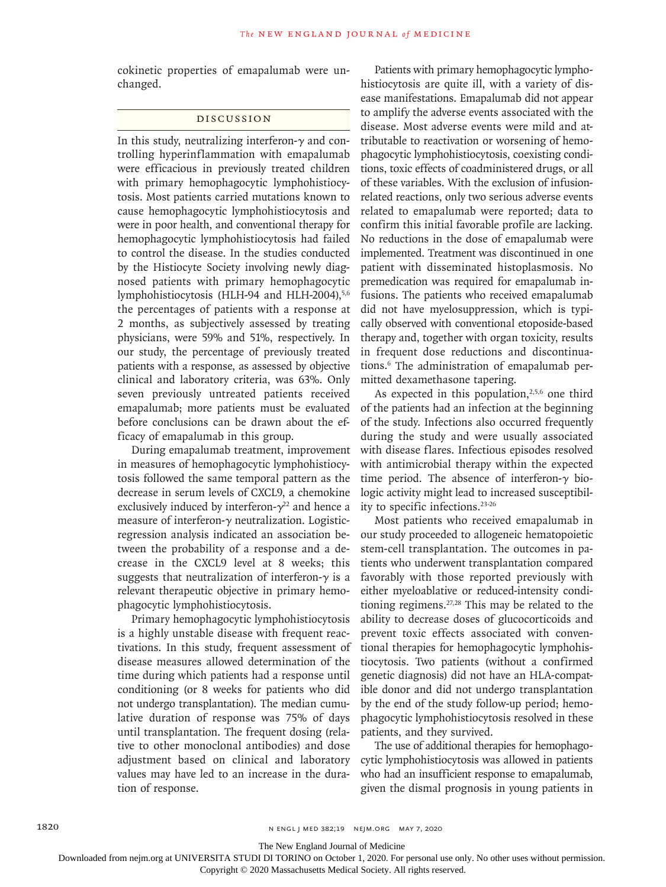cokinetic properties of emapalumab were unchanged.

# Discussion

In this study, neutralizing interferon- $\gamma$  and controlling hyperinflammation with emapalumab were efficacious in previously treated children with primary hemophagocytic lymphohistiocytosis. Most patients carried mutations known to cause hemophagocytic lymphohistiocytosis and were in poor health, and conventional therapy for hemophagocytic lymphohistiocytosis had failed to control the disease. In the studies conducted by the Histiocyte Society involving newly diagnosed patients with primary hemophagocytic lymphohistiocytosis (HLH-94 and HLH-2004),<sup>5,6</sup> the percentages of patients with a response at 2 months, as subjectively assessed by treating physicians, were 59% and 51%, respectively. In our study, the percentage of previously treated patients with a response, as assessed by objective clinical and laboratory criteria, was 63%. Only seven previously untreated patients received emapalumab; more patients must be evaluated before conclusions can be drawn about the efficacy of emapalumab in this group.

During emapalumab treatment, improvement in measures of hemophagocytic lymphohistiocytosis followed the same temporal pattern as the decrease in serum levels of CXCL9, a chemokine exclusively induced by interferon- $\gamma^{22}$  and hence a measure of interferon-γ neutralization. Logisticregression analysis indicated an association between the probability of a response and a decrease in the CXCL9 level at 8 weeks; this suggests that neutralization of interferon- $\gamma$  is a relevant therapeutic objective in primary hemophagocytic lymphohistiocytosis.

Primary hemophagocytic lymphohistiocytosis is a highly unstable disease with frequent reactivations. In this study, frequent assessment of disease measures allowed determination of the time during which patients had a response until conditioning (or 8 weeks for patients who did not undergo transplantation). The median cumulative duration of response was 75% of days until transplantation. The frequent dosing (relative to other monoclonal antibodies) and dose adjustment based on clinical and laboratory values may have led to an increase in the duration of response.

Patients with primary hemophagocytic lymphohistiocytosis are quite ill, with a variety of disease manifestations. Emapalumab did not appear to amplify the adverse events associated with the disease. Most adverse events were mild and attributable to reactivation or worsening of hemophagocytic lymphohistiocytosis, coexisting conditions, toxic effects of coadministered drugs, or all of these variables. With the exclusion of infusionrelated reactions, only two serious adverse events related to emapalumab were reported; data to confirm this initial favorable profile are lacking. No reductions in the dose of emapalumab were implemented. Treatment was discontinued in one patient with disseminated histoplasmosis. No premedication was required for emapalumab infusions. The patients who received emapalumab did not have myelosuppression, which is typically observed with conventional etoposide-based therapy and, together with organ toxicity, results in frequent dose reductions and discontinuations.6 The administration of emapalumab permitted dexamethasone tapering.

As expected in this population, $2,5,6$  one third of the patients had an infection at the beginning of the study. Infections also occurred frequently during the study and were usually associated with disease flares. Infectious episodes resolved with antimicrobial therapy within the expected time period. The absence of interferon-γ biologic activity might lead to increased susceptibility to specific infections.23-26

Most patients who received emapalumab in our study proceeded to allogeneic hematopoietic stem-cell transplantation. The outcomes in patients who underwent transplantation compared favorably with those reported previously with either myeloablative or reduced-intensity conditioning regimens. $27,28$  This may be related to the ability to decrease doses of glucocorticoids and prevent toxic effects associated with conventional therapies for hemophagocytic lymphohistiocytosis. Two patients (without a confirmed genetic diagnosis) did not have an HLA-compatible donor and did not undergo transplantation by the end of the study follow-up period; hemophagocytic lymphohistiocytosis resolved in these patients, and they survived.

The use of additional therapies for hemophagocytic lymphohistiocytosis was allowed in patients who had an insufficient response to emapalumab, given the dismal prognosis in young patients in

The New England Journal of Medicine

Downloaded from nejm.org at UNIVERSITA STUDI DI TORINO on October 1, 2020. For personal use only. No other uses without permission.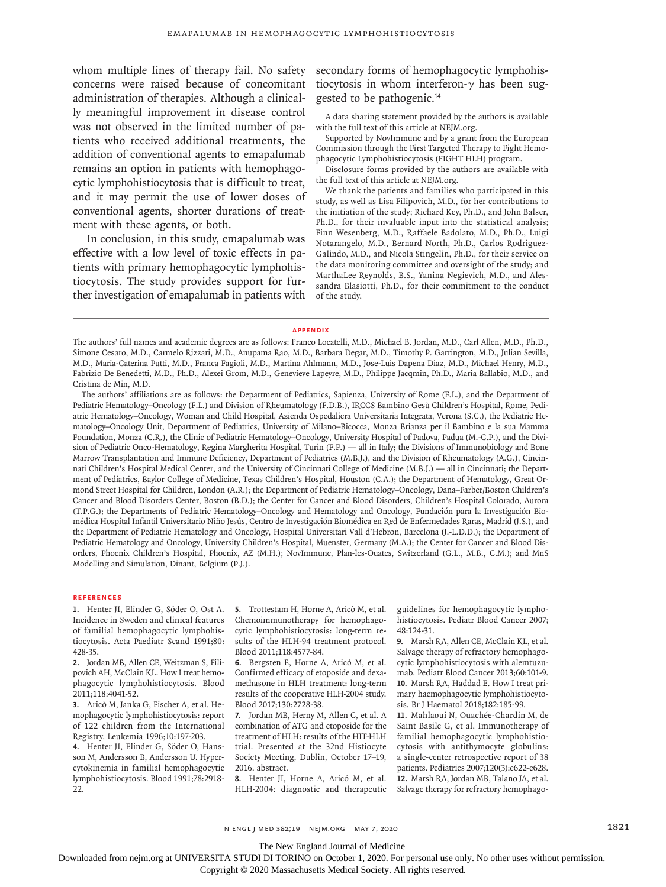whom multiple lines of therapy fail. No safety concerns were raised because of concomitant administration of therapies. Although a clinically meaningful improvement in disease control was not observed in the limited number of patients who received additional treatments, the addition of conventional agents to emapalumab remains an option in patients with hemophagocytic lymphohistiocytosis that is difficult to treat, and it may permit the use of lower doses of conventional agents, shorter durations of treatment with these agents, or both.

In conclusion, in this study, emapalumab was effective with a low level of toxic effects in patients with primary hemophagocytic lymphohistiocytosis. The study provides support for further investigation of emapalumab in patients with secondary forms of hemophagocytic lymphohistiocytosis in whom interferon- $\gamma$  has been suggested to be pathogenic.14

A data sharing statement provided by the authors is available with the full text of this article at NEJM.org.

Supported by NovImmune and by a grant from the European Commission through the First Targeted Therapy to Fight Hemophagocytic Lymphohistiocytosis (FIGHT HLH) program.

Disclosure forms provided by the authors are available with the full text of this article at NEJM.org.

We thank the patients and families who participated in this study, as well as Lisa Filipovich, M.D., for her contributions to the initiation of the study; Richard Key, Ph.D., and John Balser, Ph.D., for their invaluable input into the statistical analysis; Finn Wesenberg, M.D., Raffaele Badolato, M.D., Ph.D., Luigi Notarangelo, M.D., Bernard North, Ph.D., Carlos Rodriguez-Galindo, M.D., and Nicola Stingelin, Ph.D., for their service on the data monitoring committee and oversight of the study; and MarthaLee Reynolds, B.S., Yanina Negievich, M.D., and Alessandra Blasiotti, Ph.D., for their commitment to the conduct of the study.

#### **Appendix**

The authors' affiliations are as follows: the Department of Pediatrics, Sapienza, University of Rome (F.L.), and the Department of Pediatric Hematology–Oncology (F.L.) and Division of Rheumatology (F.D.B.), IRCCS Bambino Gesù Children's Hospital, Rome, Pediatric Hematology–Oncology, Woman and Child Hospital, Azienda Ospedaliera Universitaria Integrata, Verona (S.C.), the Pediatric Hematology–Oncology Unit, Department of Pediatrics, University of Milano–Bicocca, Monza Brianza per il Bambino e la sua Mamma Foundation, Monza (C.R.), the Clinic of Pediatric Hematology–Oncology, University Hospital of Padova, Padua (M.-C.P.), and the Division of Pediatric Onco-Hematology, Regina Margherita Hospital, Turin (F.F.) — all in Italy; the Divisions of Immunobiology and Bone Marrow Transplantation and Immune Deficiency, Department of Pediatrics (M.B.J.), and the Division of Rheumatology (A.G.), Cincinnati Children's Hospital Medical Center, and the University of Cincinnati College of Medicine (M.B.J.) — all in Cincinnati; the Department of Pediatrics, Baylor College of Medicine, Texas Children's Hospital, Houston (C.A.); the Department of Hematology, Great Ormond Street Hospital for Children, London (A.R.); the Department of Pediatric Hematology–Oncology, Dana–Farber/Boston Children's Cancer and Blood Disorders Center, Boston (B.D.); the Center for Cancer and Blood Disorders, Children's Hospital Colorado, Aurora (T.P.G.); the Departments of Pediatric Hematology–Oncology and Hematology and Oncology, Fundación para la Investigación Biomédica Hospital Infantil Universitario Niño Jesús, Centro de Investigación Biomédica en Red de Enfermedades Raras, Madrid (J.S.), and the Department of Pediatric Hematology and Oncology, Hospital Universitari Vall d'Hebron, Barcelona (J.-L.D.D.); the Department of Pediatric Hematology and Oncology, University Children's Hospital, Muenster, Germany (M.A.); the Center for Cancer and Blood Disorders, Phoenix Children's Hospital, Phoenix, AZ (M.H.); NovImmune, Plan-les-Ouates, Switzerland (G.L., M.B., C.M.); and MnS Modelling and Simulation, Dinant, Belgium (P.J.).

#### **References**

**1.** Henter JI, Elinder G, Söder O, Ost A. Incidence in Sweden and clinical features of familial hemophagocytic lymphohistiocytosis. Acta Paediatr Scand 1991;80: 428-35.

**2.** Jordan MB, Allen CE, Weitzman S, Filipovich AH, McClain KL. How I treat hemophagocytic lymphohistiocytosis. Blood 2011;118:4041-52.

**3.** Aricò M, Janka G, Fischer A, et al. Hemophagocytic lymphohistiocytosis: report of 122 children from the International Registry. Leukemia 1996;10:197-203.

**4.** Henter JI, Elinder G, Söder O, Hansson M, Andersson B, Andersson U. Hypercytokinemia in familial hemophagocytic lymphohistiocytosis. Blood 1991;78:2918- 22.

**5.** Trottestam H, Horne A, Aricò M, et al. Chemoimmunotherapy for hemophagocytic lymphohistiocytosis: long-term results of the HLH-94 treatment protocol. Blood 2011;118:4577-84.

**6.** Bergsten E, Horne A, Aricó M, et al. Confirmed efficacy of etoposide and dexamethasone in HLH treatment: long-term results of the cooperative HLH-2004 study. Blood 2017;130:2728-38.

**7.** Jordan MB, Herny M, Allen C, et al. A combination of ATG and etoposide for the treatment of HLH: results of the HIT-HLH trial. Presented at the 32nd Histiocyte Society Meeting, Dublin, October 17–19, 2016. abstract.

**8.** Henter JI, Horne A, Aricó M, et al. HLH-2004: diagnostic and therapeutic guidelines for hemophagocytic lymphohistiocytosis. Pediatr Blood Cancer 2007; 48:124-31.

**9.** Marsh RA, Allen CE, McClain KL, et al. Salvage therapy of refractory hemophagocytic lymphohistiocytosis with alemtuzumab. Pediatr Blood Cancer 2013;60:101-9. **10.** Marsh RA, Haddad E. How I treat primary haemophagocytic lymphohistiocytosis. Br J Haematol 2018;182:185-99.

**11.** Mahlaoui N, Ouachée-Chardin M, de Saint Basile G, et al. Immunotherapy of familial hemophagocytic lymphohistiocytosis with antithymocyte globulins: a single-center retrospective report of 38 patients. Pediatrics 2007;120(3):e622-e628. **12.** Marsh RA, Jordan MB, Talano JA, et al. Salvage therapy for refractory hemophago-

n engl j med 382;19 nejm.org May 7, 2020 1821

The New England Journal of Medicine

Downloaded from nejm.org at UNIVERSITA STUDI DI TORINO on October 1, 2020. For personal use only. No other uses without permission.

The authors' full names and academic degrees are as follows: Franco Locatelli, M.D., Michael B. Jordan, M.D., Carl Allen, M.D., Ph.D., Simone Cesaro, M.D., Carmelo Rizzari, M.D., Anupama Rao, M.D., Barbara Degar, M.D., Timothy P. Garrington, M.D., Julian Sevilla, M.D., Maria-Caterina Putti, M.D., Franca Fagioli, M.D., Martina Ahlmann, M.D., Jose-Luis Dapena Diaz, M.D., Michael Henry, M.D., Fabrizio De Benedetti, M.D., Ph.D., Alexei Grom, M.D., Genevieve Lapeyre, M.D., Philippe Jacqmin, Ph.D., Maria Ballabio, M.D., and Cristina de Min, M.D.